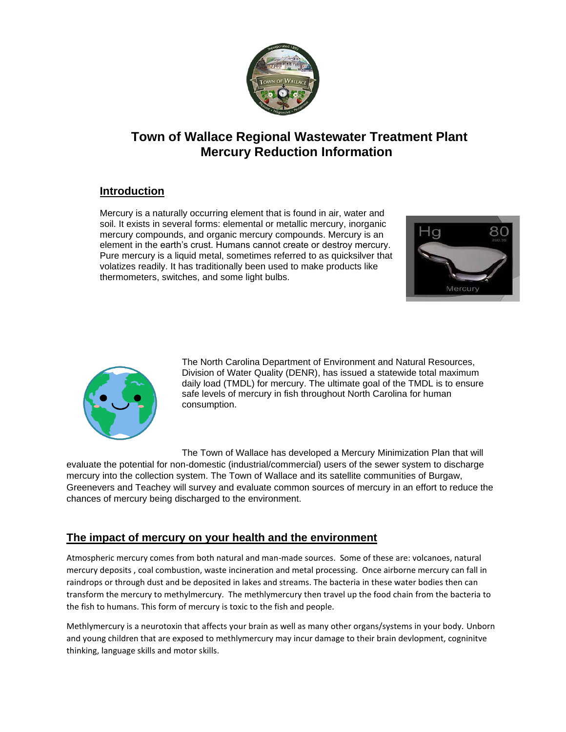

## **Town of Wallace Regional Wastewater Treatment Plant Mercury Reduction Information**

#### **Introduction**

Mercury is a naturally occurring element that is found in air, water and soil. It exists in several forms: elemental or metallic mercury, inorganic mercury compounds, and organic mercury compounds. Mercury is an element in the earth's crust. Humans cannot create or destroy mercury. Pure mercury is a liquid metal, sometimes referred to as quicksilver that volatizes readily. It has traditionally been used to make products like thermometers, switches, and some light bulbs.





The North Carolina Department of Environment and Natural Resources, Division of Water Quality (DENR), has issued a statewide total maximum daily load (TMDL) for mercury. The ultimate goal of the TMDL is to ensure safe levels of mercury in fish throughout North Carolina for human consumption.

The Town of Wallace has developed a Mercury Minimization Plan that will

evaluate the potential for non-domestic (industrial/commercial) users of the sewer system to discharge mercury into the collection system. The Town of Wallace and its satellite communities of Burgaw, Greenevers and Teachey will survey and evaluate common sources of mercury in an effort to reduce the chances of mercury being discharged to the environment.

### **The impact of mercury on your health and the environment**

Atmospheric mercury comes from both natural and man-made sources. Some of these are: volcanoes, natural mercury deposits , coal combustion, waste incineration and metal processing. Once airborne mercury can fall in raindrops or through dust and be deposited in lakes and streams. The bacteria in these water bodies then can transform the mercury to methylmercury. The methlymercury then travel up the food chain from the bacteria to the fish to humans. This form of mercury is toxic to the fish and people.

Methlymercury is a neurotoxin that affects your brain as well as many other organs/systems in your body. Unborn and young children that are exposed to methlymercury may incur damage to their brain devlopment, cogninitve thinking, language skills and motor skills.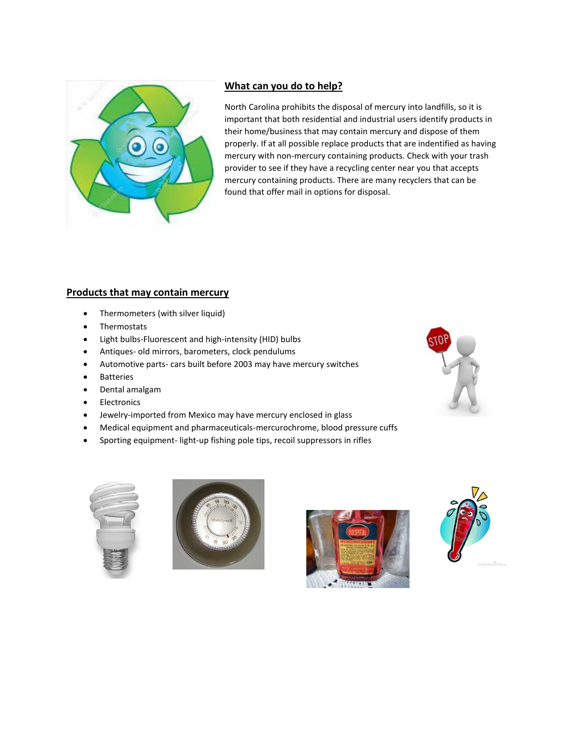

#### **What can you do to help?**

North Carolina prohibits the disposal of mercury into landfills, so it is important that both residential and industrial users identify products in their home/business that may contain mercury and dispose of them properly. If at all possible replace products that are indentified as having mercury with non-mercury containing products. Check with your trash provider to see if they have a recycling center near you that accepts mercury containing products. There are many recyclers that can be found that offer mail in options for disposal.

#### **Products that may contain mercury**

- Thermometers (with silver liquid)
- Thermostats
- Light bulbs-Fluorescent and high-intensity (HID) bulbs
- Antiques- old mirrors, barometers, clock pendulums
- Automotive parts- cars built before 2003 may have mercury switches
- Batteries
- Dental amalgam
- Electronics
- Jewelry-imported from Mexico may have mercury enclosed in glass
- Medical equipment and pharmaceuticals-mercurochrome, blood pressure cuffs
- Sporting equipment- light-up fishing pole tips, recoil suppressors in rifles